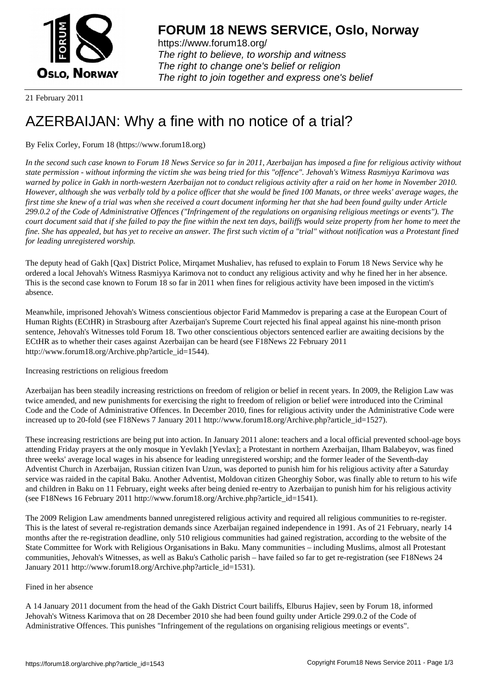

https://www.forum18.org/ The right to believe, to worship and witness The right to change one's belief or religion [The right to join together a](https://www.forum18.org/)nd express one's belief

21 February 2011

## [AZERBAIJAN: W](https://www.forum18.org)hy a fine with no notice of a trial?

## By Felix Corley, Forum 18 (https://www.forum18.org)

*In the second such case known to Forum 18 News Service so far in 2011, Azerbaijan has imposed a fine for religious activity without state permission - without informing the victim she was being tried for this "offence". Jehovah's Witness Rasmiyya Karimova was warned by police in Gakh in north-western Azerbaijan not to conduct religious activity after a raid on her home in November 2010. However, although she was verbally told by a police officer that she would be fined 100 Manats, or three weeks' average wages, the first time she knew of a trial was when she received a court document informing her that she had been found guilty under Article 299.0.2 of the Code of Administrative Offences ("Infringement of the regulations on organising religious meetings or events"). The court document said that if she failed to pay the fine within the next ten days, bailiffs would seize property from her home to meet the fine. She has appealed, but has yet to receive an answer. The first such victim of a "trial" without notification was a Protestant fined for leading unregistered worship.*

The deputy head of Gakh [Qax] District Police, Mirqamet Mushaliev, has refused to explain to Forum 18 News Service why he ordered a local Jehovah's Witness Rasmiyya Karimova not to conduct any religious activity and why he fined her in her absence. This is the second case known to Forum 18 so far in 2011 when fines for religious activity have been imposed in the victim's absence.

Meanwhile, imprisoned Jehovah's Witness conscientious objector Farid Mammedov is preparing a case at the European Court of Human Rights (ECtHR) in Strasbourg after Azerbaijan's Supreme Court rejected his final appeal against his nine-month prison sentence, Jehovah's Witnesses told Forum 18. Two other conscientious objectors sentenced earlier are awaiting decisions by the ECtHR as to whether their cases against Azerbaijan can be heard (see F18News 22 February 2011 http://www.forum18.org/Archive.php?article\_id=1544).

Increasing restrictions on religious freedom

Azerbaijan has been steadily increasing restrictions on freedom of religion or belief in recent years. In 2009, the Religion Law was twice amended, and new punishments for exercising the right to freedom of religion or belief were introduced into the Criminal Code and the Code of Administrative Offences. In December 2010, fines for religious activity under the Administrative Code were increased up to 20-fold (see F18News 7 January 2011 http://www.forum18.org/Archive.php?article\_id=1527).

These increasing restrictions are being put into action. In January 2011 alone: teachers and a local official prevented school-age boys attending Friday prayers at the only mosque in Yevlakh [Yevlax]; a Protestant in northern Azerbaijan, Ilham Balabeyov, was fined three weeks' average local wages in his absence for leading unregistered worship; and the former leader of the Seventh-day Adventist Church in Azerbaijan, Russian citizen Ivan Uzun, was deported to punish him for his religious activity after a Saturday service was raided in the capital Baku. Another Adventist, Moldovan citizen Gheorghiy Sobor, was finally able to return to his wife and children in Baku on 11 February, eight weeks after being denied re-entry to Azerbaijan to punish him for his religious activity (see F18News 16 February 2011 http://www.forum18.org/Archive.php?article\_id=1541).

The 2009 Religion Law amendments banned unregistered religious activity and required all religious communities to re-register. This is the latest of several re-registration demands since Azerbaijan regained independence in 1991. As of 21 February, nearly 14 months after the re-registration deadline, only 510 religious communities had gained registration, according to the website of the State Committee for Work with Religious Organisations in Baku. Many communities – including Muslims, almost all Protestant communities, Jehovah's Witnesses, as well as Baku's Catholic parish – have failed so far to get re-registration (see F18News 24 January 2011 http://www.forum18.org/Archive.php?article\_id=1531).

## Fined in her absence

A 14 January 2011 document from the head of the Gakh District Court bailiffs, Elburus Hajiev, seen by Forum 18, informed Jehovah's Witness Karimova that on 28 December 2010 she had been found guilty under Article 299.0.2 of the Code of Administrative Offences. This punishes "Infringement of the regulations on organising religious meetings or events".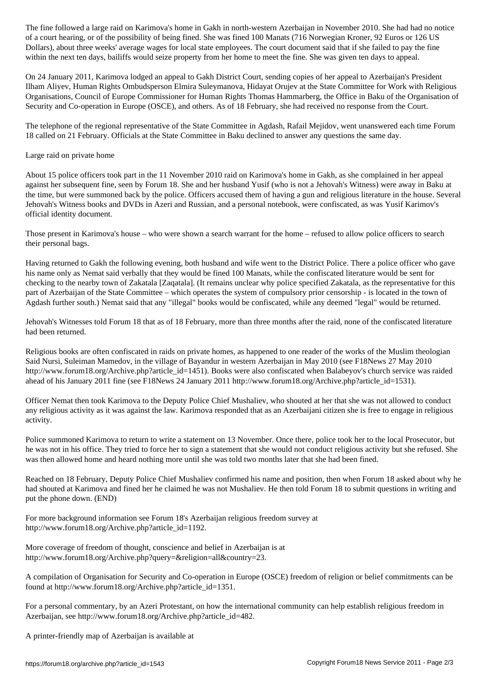of a court hearing, or of the possibility of being fined. She was fined 100 Manats (716 Norwegian Kroner, 92 Euros or 126 US Dollars), about three weeks' average wages for local state employees. The court document said that if she failed to pay the fine within the next ten days, bailiffs would seize property from her home to meet the fine. She was given ten days to appeal.

On 24 January 2011, Karimova lodged an appeal to Gakh District Court, sending copies of her appeal to Azerbaijan's President Ilham Aliyev, Human Rights Ombudsperson Elmira Suleymanova, Hidayat Orujev at the State Committee for Work with Religious Organisations, Council of Europe Commissioner for Human Rights Thomas Hammarberg, the Office in Baku of the Organisation of Security and Co-operation in Europe (OSCE), and others. As of 18 February, she had received no response from the Court.

The telephone of the regional representative of the State Committee in Agdash, Rafail Mejidov, went unanswered each time Forum 18 called on 21 February. Officials at the State Committee in Baku declined to answer any questions the same day.

## Large raid on private home

About 15 police officers took part in the 11 November 2010 raid on Karimova's home in Gakh, as she complained in her appeal against her subsequent fine, seen by Forum 18. She and her husband Yusif (who is not a Jehovah's Witness) were away in Baku at the time, but were summoned back by the police. Officers accused them of having a gun and religious literature in the house. Several Jehovah's Witness books and DVDs in Azeri and Russian, and a personal notebook, were confiscated, as was Yusif Karimov's official identity document.

Those present in Karimova's house – who were shown a search warrant for the home – refused to allow police officers to search their personal bags.

Having returned to Gakh the following evening, both husband and wife went to the District Police. There a police officer who gave his name only as Nemat said verbally that they would be fined 100 Manats, while the confiscated literature would be sent for checking to the nearby town of Zakatala [Zaqatala]. (It remains unclear why police specified Zakatala, as the representative for this part of Azerbaijan of the State Committee – which operates the system of compulsory prior censorship - is located in the town of Agdash further south.) Nemat said that any "illegal" books would be confiscated, while any deemed "legal" would be returned.

Jehovah's Witnesses told Forum 18 that as of 18 February, more than three months after the raid, none of the confiscated literature had been returned.

Religious books are often confiscated in raids on private homes, as happened to one reader of the works of the Muslim theologian Said Nursi, Suleiman Mamedov, in the village of Bayandur in western Azerbaijan in May 2010 (see F18News 27 May 2010 http://www.forum18.org/Archive.php?article\_id=1451). Books were also confiscated when Balabeyov's church service was raided ahead of his January 2011 fine (see F18News 24 January 2011 http://www.forum18.org/Archive.php?article\_id=1531).

Officer Nemat then took Karimova to the Deputy Police Chief Mushaliev, who shouted at her that she was not allowed to conduct any religious activity as it was against the law. Karimova responded that as an Azerbaijani citizen she is free to engage in religious activity.

Police summoned Karimova to return to write a statement on 13 November. Once there, police took her to the local Prosecutor, but he was not in his office. They tried to force her to sign a statement that she would not conduct religious activity but she refused. She was then allowed home and heard nothing more until she was told two months later that she had been fined.

Reached on 18 February, Deputy Police Chief Mushaliev confirmed his name and position, then when Forum 18 asked about why he had shouted at Karimova and fined her he claimed he was not Mushaliev. He then told Forum 18 to submit questions in writing and put the phone down. (END)

For more background information see Forum 18's Azerbaijan religious freedom survey at http://www.forum18.org/Archive.php?article\_id=1192.

More coverage of freedom of thought, conscience and belief in Azerbaijan is at http://www.forum18.org/Archive.php?query=&religion=all&country=23.

A compilation of Organisation for Security and Co-operation in Europe (OSCE) freedom of religion or belief commitments can be found at http://www.forum18.org/Archive.php?article\_id=1351.

For a personal commentary, by an Azeri Protestant, on how the international community can help establish religious freedom in Azerbaijan, see http://www.forum18.org/Archive.php?article\_id=482.

A printer-friendly map of Azerbaijan is available at